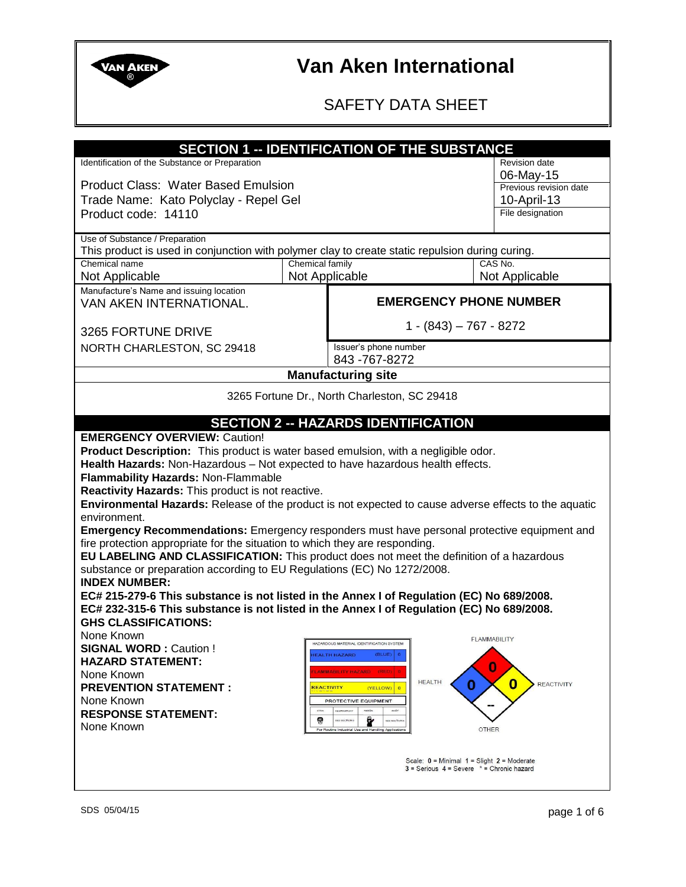

### SAFETY DATA SHEET

| <b>SECTION 1 -- IDENTIFICATION OF THE SUBSTANCE</b>                                                   |                 |                                                                                           |                                                 |                        |
|-------------------------------------------------------------------------------------------------------|-----------------|-------------------------------------------------------------------------------------------|-------------------------------------------------|------------------------|
| Identification of the Substance or Preparation                                                        |                 |                                                                                           |                                                 | <b>Revision date</b>   |
|                                                                                                       |                 |                                                                                           | 06-May-15                                       |                        |
| <b>Product Class: Water Based Emulsion</b>                                                            |                 |                                                                                           |                                                 | Previous revision date |
| Trade Name: Kato Polyclay - Repel Gel                                                                 |                 |                                                                                           |                                                 | 10-April-13            |
| Product code: 14110                                                                                   |                 |                                                                                           |                                                 | File designation       |
| Use of Substance / Preparation                                                                        |                 |                                                                                           |                                                 |                        |
| This product is used in conjunction with polymer clay to create static repulsion during curing.       |                 |                                                                                           |                                                 |                        |
| Chemical name                                                                                         | Chemical family |                                                                                           |                                                 | CAS No.                |
| Not Applicable                                                                                        | Not Applicable  |                                                                                           |                                                 | Not Applicable         |
| Manufacture's Name and issuing location<br>VAN AKEN INTERNATIONAL.                                    |                 |                                                                                           | <b>EMERGENCY PHONE NUMBER</b>                   |                        |
|                                                                                                       |                 |                                                                                           |                                                 |                        |
| 3265 FORTUNE DRIVE                                                                                    |                 |                                                                                           | $1 - (843) - 767 - 8272$                        |                        |
| NORTH CHARLESTON, SC 29418                                                                            |                 | Issuer's phone number                                                                     |                                                 |                        |
|                                                                                                       |                 | 843-767-8272                                                                              |                                                 |                        |
|                                                                                                       |                 | <b>Manufacturing site</b>                                                                 |                                                 |                        |
|                                                                                                       |                 | 3265 Fortune Dr., North Charleston, SC 29418                                              |                                                 |                        |
|                                                                                                       |                 |                                                                                           |                                                 |                        |
|                                                                                                       |                 | <b>SECTION 2 -- HAZARDS IDENTIFICATION</b>                                                |                                                 |                        |
| <b>EMERGENCY OVERVIEW: Caution!</b>                                                                   |                 |                                                                                           |                                                 |                        |
| Product Description: This product is water based emulsion, with a negligible odor.                    |                 |                                                                                           |                                                 |                        |
| Health Hazards: Non-Hazardous - Not expected to have hazardous health effects.                        |                 |                                                                                           |                                                 |                        |
| Flammability Hazards: Non-Flammable<br>Reactivity Hazards: This product is not reactive.              |                 |                                                                                           |                                                 |                        |
| Environmental Hazards: Release of the product is not expected to cause adverse effects to the aquatic |                 |                                                                                           |                                                 |                        |
| environment.                                                                                          |                 |                                                                                           |                                                 |                        |
| Emergency Recommendations: Emergency responders must have personal protective equipment and           |                 |                                                                                           |                                                 |                        |
| fire protection appropriate for the situation to which they are responding.                           |                 |                                                                                           |                                                 |                        |
| EU LABELING AND CLASSIFICATION: This product does not meet the definition of a hazardous              |                 |                                                                                           |                                                 |                        |
| substance or preparation according to EU Regulations (EC) No 1272/2008.<br><b>INDEX NUMBER:</b>       |                 |                                                                                           |                                                 |                        |
| EC# 215-279-6 This substance is not listed in the Annex I of Regulation (EC) No 689/2008.             |                 |                                                                                           |                                                 |                        |
| EC# 232-315-6 This substance is not listed in the Annex I of Regulation (EC) No 689/2008.             |                 |                                                                                           |                                                 |                        |
| <b>GHS CLASSIFICATIONS:</b>                                                                           |                 |                                                                                           |                                                 |                        |
| None Known                                                                                            |                 |                                                                                           |                                                 | <b>FLAMMABILITY</b>    |
| <b>SIGNAL WORD: Caution!</b>                                                                          |                 | HAZARDOUS MATERIAL IDENTIFICATION SYSTEM<br><b>EALTH HAZARD</b><br>(BLUE)                 |                                                 |                        |
| <b>HAZARD STATEMENT:</b><br>O                                                                         |                 |                                                                                           |                                                 |                        |
| MMABILITY HAZARD (RED)<br>None Known<br><b>HEALTH</b><br>$\bf{0}$<br>0<br><b>REACTIVITY</b>           |                 |                                                                                           |                                                 |                        |
| <b>PREVENTION STATEMENT:</b><br>REACTIVITY<br>(YELLOW) 0<br>None Known<br>PROTECTIVE EQUIPMENT        |                 |                                                                                           |                                                 |                        |
| <b>RESPONSE STATEMENT:</b>                                                                            |                 | RESPIRATORY                                                                               |                                                 |                        |
| None Known                                                                                            | 9               | Ÿ<br>SEE SECTION &<br>see section<br>For Routine Industrial Use and Handling Applications | <b>OTHER</b>                                    |                        |
|                                                                                                       |                 |                                                                                           |                                                 |                        |
| Scale: $0 =$ Minimal $1 =$ Slight $2 =$ Moderate                                                      |                 |                                                                                           |                                                 |                        |
|                                                                                                       |                 |                                                                                           | $3 =$ Serious $4 =$ Severe $* =$ Chronic hazard |                        |
|                                                                                                       |                 |                                                                                           |                                                 |                        |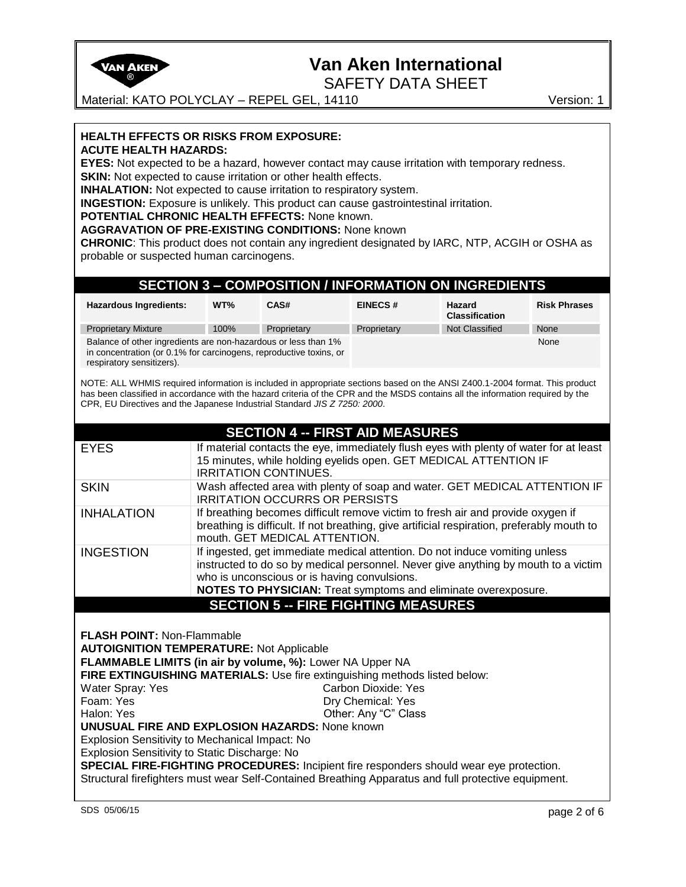

SAFETY DATA SHEET

Material: KATO POLYCLAY – REPEL GEL, 14110 Version: 1

**HEALTH EFFECTS OR RISKS FROM EXPOSURE: ACUTE HEALTH HAZARDS:** 

**EYES:** Not expected to be a hazard, however contact may cause irritation with temporary redness. **SKIN:** Not expected to cause irritation or other health effects.

**INHALATION:** Not expected to cause irritation to respiratory system.

**INGESTION:** Exposure is unlikely. This product can cause gastrointestinal irritation.

**POTENTIAL CHRONIC HEALTH EFFECTS:** None known.

**AGGRAVATION OF PRE-EXISTING CONDITIONS:** None known

**CHRONIC**: This product does not contain any ingredient designated by IARC, NTP, ACGIH or OSHA as probable or suspected human carcinogens.

### **SECTION 3 – COMPOSITION / INFORMATION ON INGREDIENTS**

| Hazardous Ingredients:                                                                                                                                            | WT%  | CAS#        | <b>EINECS#</b> | Hazard<br><b>Classification</b> | <b>Risk Phrases</b> |
|-------------------------------------------------------------------------------------------------------------------------------------------------------------------|------|-------------|----------------|---------------------------------|---------------------|
| <b>Proprietary Mixture</b>                                                                                                                                        | 100% | Proprietary | Proprietary    | Not Classified                  | None                |
| Balance of other ingredients are non-hazardous or less than 1%<br>in concentration (or 0.1% for carcinogens, reproductive toxins, or<br>respiratory sensitizers). |      |             |                | None                            |                     |

NOTE: ALL WHMIS required information is included in appropriate sections based on the ANSI Z400.1-2004 format. This product has been classified in accordance with the hazard criteria of the CPR and the MSDS contains all the information required by the CPR, EU Directives and the Japanese Industrial Standard *JIS Z 7250: 2000*.

|                                                       | <b>SECTION 4 -- FIRST AID MEASURES</b>                                                                                                                                                                                                                                                                                            |  |  |
|-------------------------------------------------------|-----------------------------------------------------------------------------------------------------------------------------------------------------------------------------------------------------------------------------------------------------------------------------------------------------------------------------------|--|--|
| <b>EYES</b>                                           | If material contacts the eye, immediately flush eyes with plenty of water for at least<br>15 minutes, while holding eyelids open. GET MEDICAL ATTENTION IF<br><b>IRRITATION CONTINUES.</b>                                                                                                                                        |  |  |
| <b>SKIN</b>                                           | Wash affected area with plenty of soap and water. GET MEDICAL ATTENTION IF<br><b>IRRITATION OCCURRS OR PERSISTS</b>                                                                                                                                                                                                               |  |  |
| <b>INHALATION</b>                                     | If breathing becomes difficult remove victim to fresh air and provide oxygen if<br>breathing is difficult. If not breathing, give artificial respiration, preferably mouth to<br>mouth. GET MEDICAL ATTENTION.                                                                                                                    |  |  |
| <b>INGESTION</b>                                      | If ingested, get immediate medical attention. Do not induce vomiting unless<br>instructed to do so by medical personnel. Never give anything by mouth to a victim<br>who is unconscious or is having convulsions.<br>NOTES TO PHYSICIAN: Treat symptoms and eliminate overexposure.<br><b>SECTION 5 -- FIRE FIGHTING MEASURES</b> |  |  |
| <b>FLASH POINT: Non-Flammable</b>                     | <b>AUTOIGNITION TEMPERATURE: Not Applicable</b><br>FLAMMABLE LIMITS (in air by volume, %): Lower NA Upper NA<br>FIRE EXTINGUISHING MATERIALS: Use fire extinguishing methods listed below:                                                                                                                                        |  |  |
| Water Spray: Yes                                      | Carbon Dioxide: Yes                                                                                                                                                                                                                                                                                                               |  |  |
| Foam: Yes                                             | Dry Chemical: Yes                                                                                                                                                                                                                                                                                                                 |  |  |
| Halon: Yes                                            | Other: Any "C" Class                                                                                                                                                                                                                                                                                                              |  |  |
| <b>UNUSUAL FIRE AND EXPLOSION HAZARDS: None known</b> |                                                                                                                                                                                                                                                                                                                                   |  |  |
|                                                       | Explosion Sensitivity to Mechanical Impact: No                                                                                                                                                                                                                                                                                    |  |  |
|                                                       | Explosion Sensitivity to Static Discharge: No                                                                                                                                                                                                                                                                                     |  |  |
|                                                       | SPECIAL FIRE-FIGHTING PROCEDURES: Incipient fire responders should wear eye protection.                                                                                                                                                                                                                                           |  |  |
|                                                       | Structural firefighters must wear Self-Contained Breathing Apparatus and full protective equipment.                                                                                                                                                                                                                               |  |  |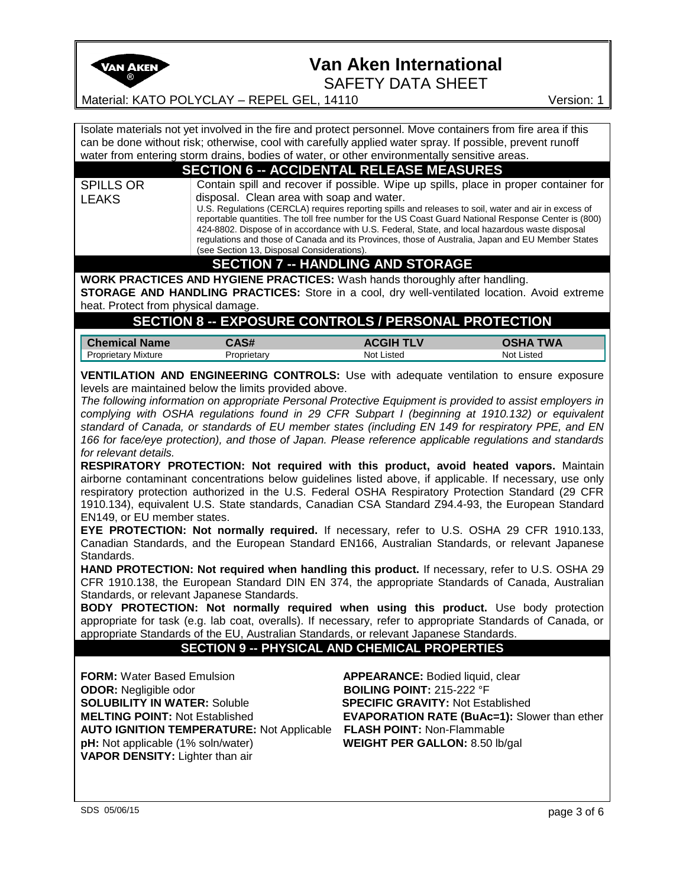

SAFETY DATA SHEET

Material: KATO POLYCLAY – REPEL GEL, 14110 Version: 1

Isolate materials not yet involved in the fire and protect personnel. Move containers from fire area if this can be done without risk; otherwise, cool with carefully applied water spray. If possible, prevent runoff water from entering storm drains, bodies of water, or other environmentally sensitive areas.

### **SECTION 6 -- ACCIDENTAL RELEASE MEASURES**

SPILLS OR LEAKS Contain spill and recover if possible. Wipe up spills, place in proper container for disposal. Clean area with soap and water. U.S. Regulations (CERCLA) requires reporting spills and releases to soil, water and air in excess of reportable quantities. The toll free number for the US Coast Guard National Response Center is (800) 424-8802. Dispose of in accordance with U.S. Federal, State, and local hazardous waste disposal

regulations and those of Canada and its Provinces, those of Australia, Japan and EU Member States (see Section 13, Disposal Considerations).

### **SECTION 7 -- HANDLING AND STORAGE**

**WORK PRACTICES AND HYGIENE PRACTICES:** Wash hands thoroughly after handling.

**STORAGE AND HANDLING PRACTICES:** Store in a cool, dry well-ventilated location. Avoid extreme heat. Protect from physical damage.

### **SECTION 8 -- EXPOSURE CONTROLS / PERSONAL PROTECTION**

| <b>Chemical Name</b>       | ៱┍╜                | <b>TLV</b><br>ACGIH | 'WA        |
|----------------------------|--------------------|---------------------|------------|
| <b>Proprietary Mixture</b> | <b>Proprietary</b> | Not Listed          | Not Listed |

**VENTILATION AND ENGINEERING CONTROLS:** Use with adequate ventilation to ensure exposure levels are maintained below the limits provided above.

*The following information on appropriate Personal Protective Equipment is provided to assist employers in complying with OSHA regulations found in 29 CFR Subpart I (beginning at 1910.132) or equivalent standard of Canada, or standards of EU member states (including EN 149 for respiratory PPE, and EN 166 for face/eye protection), and those of Japan. Please reference applicable regulations and standards for relevant details.* 

**RESPIRATORY PROTECTION: Not required with this product, avoid heated vapors.** Maintain airborne contaminant concentrations below guidelines listed above, if applicable. If necessary, use only respiratory protection authorized in the U.S. Federal OSHA Respiratory Protection Standard (29 CFR 1910.134), equivalent U.S. State standards, Canadian CSA Standard Z94.4-93, the European Standard EN149, or EU member states.

**EYE PROTECTION: Not normally required.** If necessary, refer to U.S. OSHA 29 CFR 1910.133, Canadian Standards, and the European Standard EN166, Australian Standards, or relevant Japanese Standards.

**HAND PROTECTION: Not required when handling this product.** If necessary, refer to U.S. OSHA 29 CFR 1910.138, the European Standard DIN EN 374, the appropriate Standards of Canada, Australian Standards, or relevant Japanese Standards.

**BODY PROTECTION: Not normally required when using this product.** Use body protection appropriate for task (e.g. lab coat, overalls). If necessary, refer to appropriate Standards of Canada, or appropriate Standards of the EU, Australian Standards, or relevant Japanese Standards.

#### **SECTION 9 -- PHYSICAL AND CHEMICAL PROPERTIES**

**FORM:** Water Based Emulsion **APPEARANCE:** Bodied liquid, clear **ODOR:** Negligible odor **BOILING POINT:** 215-222 °F **SOLUBILITY IN WATER:** Soluble **SPECIFIC GRAVITY:** Not Established **MELTING POINT:** Not Established **EVAPORATION RATE (BuAc=1):** Slower than ether **AUTO IGNITION TEMPERATURE:** Not Applicable **FLASH POINT:** Non-Flammable **pH:** Not applicable (1% soln/water) **WEIGHT PER GALLON:** 8.50 lb/gal **VAPOR DENSITY:** Lighter than air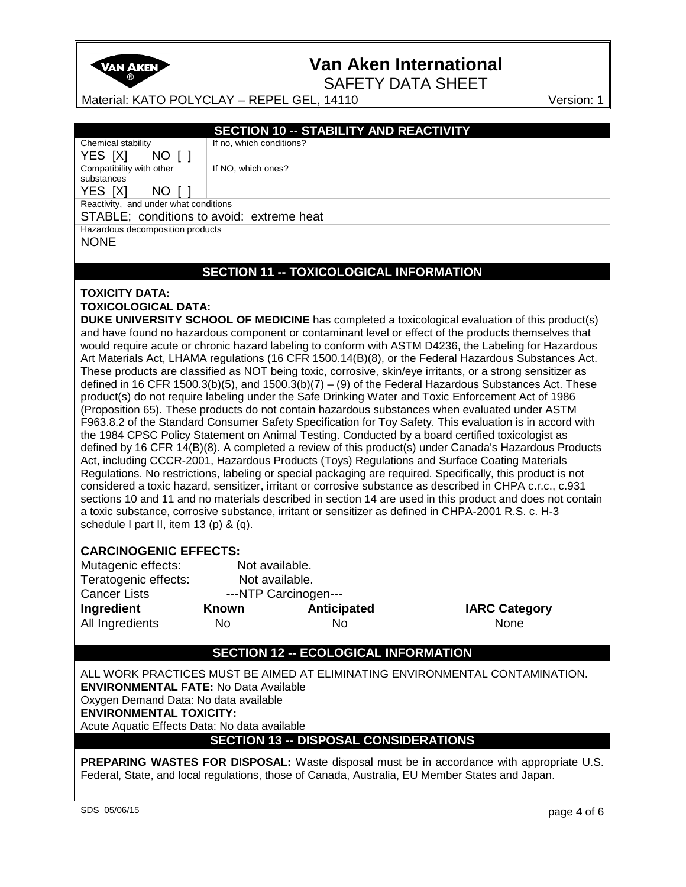

SAFETY DATA SHEET

Material: KATO POLYCLAY – REPEL GEL, 14110 Version: 1

| <b>SECTION 10 -- STABILITY AND REACTIVITY</b> |  |
|-----------------------------------------------|--|
|-----------------------------------------------|--|

If no, which conditions?

If NO, which ones?

YES [X] NO [ ] Compatibility with other

Chemical stability

substances YES [X] NO [ ]

Reactivity, and under what conditions

STABLE; conditions to avoid: extreme heat

Hazardous decomposition products

NONE

### **SECTION 11 -- TOXICOLOGICAL INFORMATION**

#### **TOXICITY DATA:**

#### **TOXICOLOGICAL DATA:**

**DUKE UNIVERSITY SCHOOL OF MEDICINE** has completed a toxicological evaluation of this product(s) and have found no hazardous component or contaminant level or effect of the products themselves that would require acute or chronic hazard labeling to conform with ASTM D4236, the Labeling for Hazardous Art Materials Act, LHAMA regulations (16 CFR 1500.14(B)(8), or the Federal Hazardous Substances Act. These products are classified as NOT being toxic, corrosive, skin/eye irritants, or a strong sensitizer as defined in 16 CFR 1500.3(b)(5), and 1500.3(b)(7) – (9) of the Federal Hazardous Substances Act. These product(s) do not require labeling under the Safe Drinking Water and Toxic Enforcement Act of 1986 (Proposition 65). These products do not contain hazardous substances when evaluated under ASTM F963.8.2 of the Standard Consumer Safety Specification for Toy Safety. This evaluation is in accord with the 1984 CPSC Policy Statement on Animal Testing. Conducted by a board certified toxicologist as defined by 16 CFR 14(B)(8). A completed a review of this product(s) under Canada's Hazardous Products Act, including CCCR-2001, Hazardous Products (Toys) Regulations and Surface Coating Materials Regulations. No restrictions, labeling or special packaging are required. Specifically, this product is not considered a toxic hazard, sensitizer, irritant or corrosive substance as described in CHPA c.r.c., c.931 sections 10 and 11 and no materials described in section 14 are used in this product and does not contain a toxic substance, corrosive substance, irritant or sensitizer as defined in CHPA-2001 R.S. c. H-3 schedule I part II, item 13 (p) & (q).

#### **CARCINOGENIC EFFECTS:**

| Mutagenic effects:   | Not available.       |                |                  |
|----------------------|----------------------|----------------|------------------|
| Teratogenic effects: |                      | Not available. |                  |
| <b>Cancer Lists</b>  | ---NTP Carcinogen--- |                |                  |
| Ingredient           | Known                | Anticipated    | <b>IARC Cate</b> |
| All Ingredients      | No                   | N٥             | None             |

**IARC Category** 

### **SECTION 12 -- ECOLOGICAL INFORMATION**

ALL WORK PRACTICES MUST BE AIMED AT ELIMINATING ENVIRONMENTAL CONTAMINATION. **ENVIRONMENTAL FATE:** No Data Available Oxygen Demand Data: No data available **ENVIRONMENTAL TOXICITY:**  Acute Aquatic Effects Data: No data available **SECTION 13 -- DISPOSAL CONSIDERATIONS**

**PREPARING WASTES FOR DISPOSAL:** Waste disposal must be in accordance with appropriate U.S. Federal, State, and local regulations, those of Canada, Australia, EU Member States and Japan.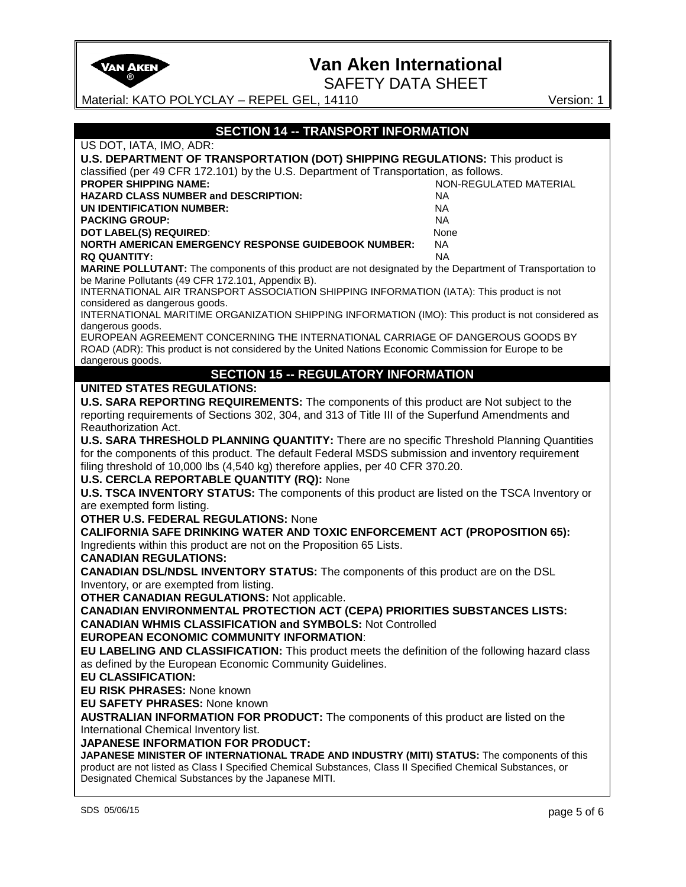| $^\circledR$                                                                                                                                                                                 | <b>SAFETY DATA SHEET</b>                    |                        |
|----------------------------------------------------------------------------------------------------------------------------------------------------------------------------------------------|---------------------------------------------|------------------------|
| Material: KATO POLYCLAY - REPEL GEL, 14110                                                                                                                                                   |                                             | Version: 1             |
|                                                                                                                                                                                              | <b>SECTION 14 -- TRANSPORT INFORMATION</b>  |                        |
| US DOT, IATA, IMO, ADR:                                                                                                                                                                      |                                             |                        |
| U.S. DEPARTMENT OF TRANSPORTATION (DOT) SHIPPING REGULATIONS: This product is                                                                                                                |                                             |                        |
| classified (per 49 CFR 172.101) by the U.S. Department of Transportation, as follows.                                                                                                        |                                             |                        |
| <b>PROPER SHIPPING NAME:</b>                                                                                                                                                                 |                                             | NON-REGULATED MATERIAL |
| <b>HAZARD CLASS NUMBER and DESCRIPTION:</b><br><b>UN IDENTIFICATION NUMBER:</b>                                                                                                              | <b>NA</b><br>NA.                            |                        |
| <b>PACKING GROUP:</b>                                                                                                                                                                        | <b>NA</b>                                   |                        |
| <b>DOT LABEL(S) REQUIRED:</b>                                                                                                                                                                | None                                        |                        |
| <b>NORTH AMERICAN EMERGENCY RESPONSE GUIDEBOOK NUMBER:</b>                                                                                                                                   | <b>NA</b>                                   |                        |
| <b>RQ QUANTITY:</b>                                                                                                                                                                          | <b>NA</b>                                   |                        |
| <b>MARINE POLLUTANT:</b> The components of this product are not designated by the Department of Transportation to<br>be Marine Pollutants (49 CFR 172.101, Appendix B).                      |                                             |                        |
| INTERNATIONAL AIR TRANSPORT ASSOCIATION SHIPPING INFORMATION (IATA): This product is not                                                                                                     |                                             |                        |
| considered as dangerous goods.<br>INTERNATIONAL MARITIME ORGANIZATION SHIPPING INFORMATION (IMO): This product is not considered as                                                          |                                             |                        |
| dangerous goods.<br>EUROPEAN AGREEMENT CONCERNING THE INTERNATIONAL CARRIAGE OF DANGEROUS GOODS BY                                                                                           |                                             |                        |
| ROAD (ADR): This product is not considered by the United Nations Economic Commission for Europe to be                                                                                        |                                             |                        |
| dangerous goods.                                                                                                                                                                             |                                             |                        |
|                                                                                                                                                                                              | <b>SECTION 15 -- REGULATORY INFORMATION</b> |                        |
| <b>UNITED STATES REGULATIONS:</b>                                                                                                                                                            |                                             |                        |
| U.S. SARA REPORTING REQUIREMENTS: The components of this product are Not subject to the<br>reporting requirements of Sections 302, 304, and 313 of Title III of the Superfund Amendments and |                                             |                        |
| Reauthorization Act.                                                                                                                                                                         |                                             |                        |
| U.S. SARA THRESHOLD PLANNING QUANTITY: There are no specific Threshold Planning Quantities                                                                                                   |                                             |                        |
| for the components of this product. The default Federal MSDS submission and inventory requirement                                                                                            |                                             |                        |
| filing threshold of 10,000 lbs (4,540 kg) therefore applies, per 40 CFR 370.20.                                                                                                              |                                             |                        |
| <b>U.S. CERCLA REPORTABLE QUANTITY (RQ): None</b>                                                                                                                                            |                                             |                        |
| U.S. TSCA INVENTORY STATUS: The components of this product are listed on the TSCA Inventory or                                                                                               |                                             |                        |
| are exempted form listing.<br><b>OTHER U.S. FEDERAL REGULATIONS: None</b>                                                                                                                    |                                             |                        |
| <b>CALIFORNIA SAFE DRINKING WATER AND TOXIC ENFORCEMENT ACT (PROPOSITION 65):</b>                                                                                                            |                                             |                        |
| Ingredients within this product are not on the Proposition 65 Lists.                                                                                                                         |                                             |                        |
| <b>CANADIAN REGULATIONS:</b>                                                                                                                                                                 |                                             |                        |
| <b>CANADIAN DSL/NDSL INVENTORY STATUS:</b> The components of this product are on the DSL                                                                                                     |                                             |                        |
| Inventory, or are exempted from listing.                                                                                                                                                     |                                             |                        |
| <b>OTHER CANADIAN REGULATIONS: Not applicable.</b>                                                                                                                                           |                                             |                        |
| <b>CANADIAN ENVIRONMENTAL PROTECTION ACT (CEPA) PRIORITIES SUBSTANCES LISTS:</b>                                                                                                             |                                             |                        |
| <b>CANADIAN WHMIS CLASSIFICATION and SYMBOLS: Not Controlled</b><br><b>EUROPEAN ECONOMIC COMMUNITY INFORMATION:</b>                                                                          |                                             |                        |
| EU LABELING AND CLASSIFICATION: This product meets the definition of the following hazard class                                                                                              |                                             |                        |
| as defined by the European Economic Community Guidelines.                                                                                                                                    |                                             |                        |
| <b>EU CLASSIFICATION:</b>                                                                                                                                                                    |                                             |                        |
| <b>EU RISK PHRASES: None known</b>                                                                                                                                                           |                                             |                        |
| <b>EU SAFETY PHRASES: None known</b>                                                                                                                                                         |                                             |                        |
| <b>AUSTRALIAN INFORMATION FOR PRODUCT:</b> The components of this product are listed on the                                                                                                  |                                             |                        |
| International Chemical Inventory list.                                                                                                                                                       |                                             |                        |
| JAPANESE INFORMATION FOR PRODUCT:<br>JAPANESE MINISTER OF INTERNATIONAL TRADE AND INDUSTRY (MITI) STATUS: The components of this                                                             |                                             |                        |
| product are not listed as Class I Specified Chemical Substances, Class II Specified Chemical Substances, or                                                                                  |                                             |                        |
| Designated Chemical Substances by the Japanese MITI.                                                                                                                                         |                                             |                        |
| SDS 05/06/15                                                                                                                                                                                 |                                             | page 5 of 6            |
|                                                                                                                                                                                              |                                             |                        |
|                                                                                                                                                                                              |                                             |                        |

### **Van Aken International**

**VAN AKEN**